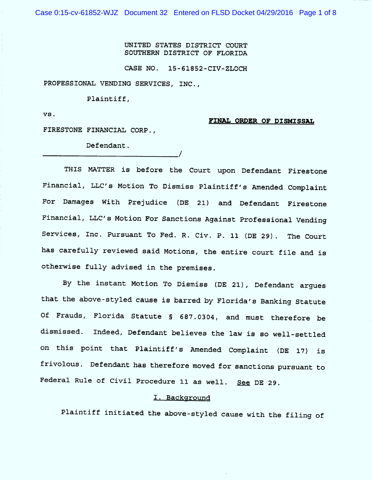Case 0:15-cv-61852-WJZ Document 32 Entered on FLSD Docket 04/29/2016 Page 1 of 8

UN ITED STATES DISTRICT COURT SOUTHERN DISTRICT OF FLORIDA

CASE NO. 15-61852-CIV-ZLOCH

PROFESSIONAL VENDING SERVICES, INC.,

Plaintiff,

VS .

## FINAL ORDER OF DISMISSAL

FIRESTONE FINANCIAL CORP .,

Defendant .

THIS MATTER is before the Court upon Defendant Firestone Financial, LLC'S Motion To Dismiss Plaintiff's Amended Complaint For Damages With Prejudice (DE 21) and Defendant Firestone Financial, LLC'S Motion For Sanctions Against Professional Vending Services, Inc. Pursuant To Fed. R. Civ. P. 11 (DE 29). The Court has carefully reviewed said Motions, the entire court file and is otherwise fully advised in the premises.

/

By the instant Motion To Dismiss (DE 21), Defendant arques that the above-styled cause is barred by Florida's Banking Statute Of Frauds, Florida Statute 5 687.0304 , and must therefore be dismissed. Indeed, Defendant believes the law is so well-settled on this point that Plaintiff's Amended Complaint (DE 17) is frivolous. Defendant has therefore moved for sanctions pursuant to Federal Rule of Civil Procedure 11 as well. See DE 29.

## 1. Background

Plaintiff initiated the above-styled cause with the filing of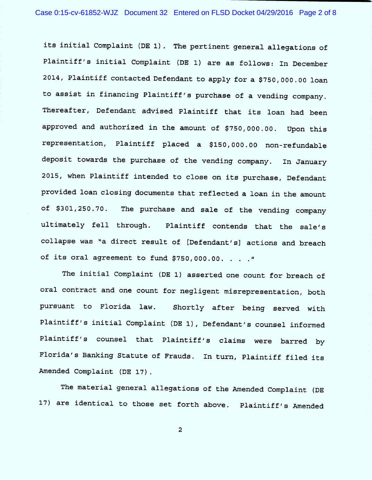its initial Complaint (DE l). The pertinent general allegations of Plaintiff's initial Complaint (DE 1) are as follows: In December 2014, Plaintiff contacted Defendant to apply for a \$750,000. 00 loan to assist in financing Plaintiff's purchase of a vending company. Thereafter, Defendant advised Plaintiff that its loan had been approved and authorized in the amount of \$750,000.00. Upon this representation, Plaintiff placed a \$150,000.00 non-refundable deposit towards the purchase of the vending company. In January 2015, when Plaintiff intended to close on its purchase, Defendant provided loan closing documents that reflected a loan in the amount of \$301,250.70. The purchase and sale of the vending company ultimately fell through. Plaintiff contends that the sale's collapse was "a direct result of [Defendant's] actions and breach of its oral agreement to fund \$750,000.00. . . . "

The initial Complaint (DE 1) asserted one count for breach of oral contract and one count for negligent misrepresentation, both pursuant to Florida law. Shortly after being served with Plaintiff's initial Complaint (DE 1), Defendant's counsel informed Plaintiff's counsel that Plaintiff's claims were barred by Florida's Banking Statute of Frauds. In turn, Plaintiff filed its Amended Complaint (DE 17).

The material general allegations of the Amended Complaint (DE l7) are identical to those set forth above. Plaintiff's Amended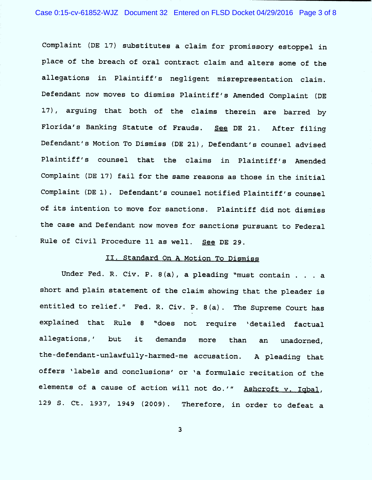Complaint (DE l7) substitutes a claim for promissory estoppel in place of the breach of oral contract claim and alters some of the allegations in Plaintiff's negligent misrepresentation claim . Defendant now moves to dismiss Plaintiff's Amended Complaint (DE 17), arguing that both of the claims therein are barred by Florida's Banking Statute of Frauds. See DE 21. After filing Defendant 's Motion To Dismiss (DE 21), Defendant's counsel advised Plaintiff's counsel that the claims in Plaintiff's Amended Complaint (DE l7) fail for the same reasons as those in the initial Complaint (DE 1). Defendant's counsel notified Plaintiff's counsel of its intention to move for sanctions. Plaintiff did not dismiss the case and Defendant now moves for sanctions pursuant to Federal Rule of Civil Procedure 11 as well. See DE 29.

## 11 . Standard On A Motion To Dismiss

Under Fed. R. Civ. P. 8(a), a pleading "must contain . . . a short and plain statement of the claim showing that the pleader is entitled to relief." Fed. R. Civ. P. 8(a). The Supreme Court has exp lained that Rule 8 ''does not require 'detailed factual allegations,' but it demands more than an unadorned, the-defendant-unlawfully-harmed-me accusation. A pleading that offers 'labels and conclusions' or 'a formulaic recitation of the elements of a cause of action will not do.'" Ashcroft v. Iqbal, l29 Ct. 1937, 1949 (2009). Therefore, in order to defeat a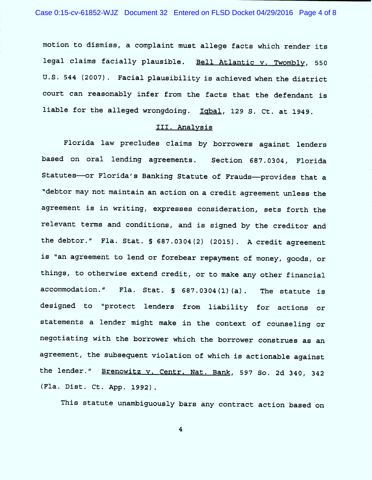motion to dismiss, a complaint must allege facts which render its legal claims facially plausible. Bell Atlantic v. Twombly, 550 U .S. 544 (2007). Facial plausibility is achieved when the district court can reasonably infer from the facts that the defendant is liable for the alleged wrongdoing. Igbal, 129 S. Ct. at 1949.

## III. Analysis

Florida law precludes claims by borrowers against lenders based on oral lending agreements. Section 687. 0304, Florida Statutes-or Florida's Banking Statute of Frauds--provides that a "debtor may not maintain an action on a credit agreement unless the agreement is in writing, expresses consideration, sets forth the relevant terms and conditions, and is signed by the creditor and the debtor." Fla. Stat.  $\S$  687.0304(2) (2015). A credit agreement is "an agreement to lend or forebear repayment of money, goods, or things, to otherwise extend credit, or to make any other financial accommodation." Fla. Stat.  $\S$  687.0304(1)(a). The statute is designed to "protect lenders from liability for actions or statements a lender might make in the context of counseling or negotiating with the borrower which the borrower construes as an agreement, the subsequent violation of which is actionable against the lender." Brenowitz v. Centr. Nat. Bank, 597 So. 2d 340, 342 (Fla. Dist. Ct. App. 1992).

This statute unambiguously bars any contract action based on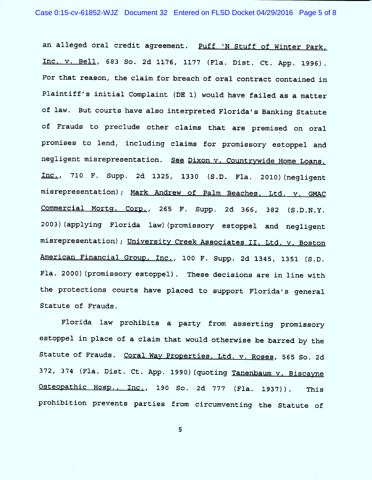an alleged oral credit agreement. Puff 'N Stuff of Winter Park, Inc. v. Bell, 683 So. 2d 1176, 1177 (Fla. Dist. Ct. App. 1996). For that reason, the claim for breach of oral contract contained in Plaintiff's initial Complaint (DE 1) would have failed as a matter of law. But courts have also interpreted Florida's Banking Statute of Frauds to preclude other claims that are premised on oral promises to lend, including claims for promissory estoppel and negligent misrepresentation. See Dixon v. Countrywide Home Loans, Inc., 710 F. Supp. 2d 1325, 1330 (S.D. Fla. 2010) (negligent misrepresentation); Mark Andrew of Palm Beaches, Ltd. v. GMAC Commercial Mortg. Corp., 265 F. Supp. 2d 366, 382 (S.D.N.Y. 2003) (applying Florida law) (promissory estoppel and negligent misrepresentation); University Creek Associates II, Ltd. v. Boston American Financial Group, Inc., 100 F. Supp. 2d 1345, 1351 (S.D. Fla. 2000) (promissory estoppel). These decisions are in line with the protections courts have placed to support Florida's general Statute of Frauds .

Florida law prohibits a party from asserting promissory estoppel in place of a claim that would otherwise be barred by the Statute of Frauds. Coral Way Properties, Ltd. v. Roses, 565 So. 2d 372, 374 (Fla. Dist. Ct. App. 1990) (quoting Tanenbaum v. Biscayne Osteopathic Hosp., Inc., 190 So. 2d 777 (Fla. 1937)). This prohibition prevents parties from circumventing the Statute of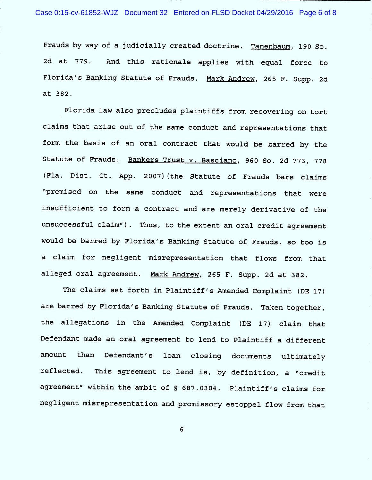Frauds by way of a judicially created doctrine. Tanenbaum, 190 So. 2d at 779. And this rationale applies with equal force to Florida 's Banking Statute of Frauds . Mark Andrew, 265 F. Supp. 2d at 382 .

Florida law also precludes plaintiffs from recovering on tort claims that arise out of the same conduct and representations that form the basis of an oral contract that would be barred by the Statute of Frauds. Bankers Trust v. Basciano, 960 So. 2d 773, 778 (Fla. Dist. Ct. App. 2007) (the Statute of Frauds bars claims "premised on the same conduct and representations that were insufficient to form a contract and are merely derivative of the unsuccessful claim"). Thus, to the extent an oral credit agreement would be barred by Florida 's Banking Statute of Frauds, so too is a claim for negligent misrepresentation that flows from that alleged oral agreement. Mark Andrew, 265 F. Supp. 2d at 382.

The claims set forth in Plaintiff's Amended Complaint (DE l7) are barred by Florida's Banking Statute of Frauds. Taken together, the allegations in the Amended Complaint (DE l7) claim that Defendant made an oral agreement to lend to Plaintiff a different amount than Defendant's loan closing documents ultimately reflected. This agreement to lend is, by definition, a "credit agreement" within the ambit of § 687.0304. Plaintiff's claims for negligent misrepresentation and promissory estoppel flow from that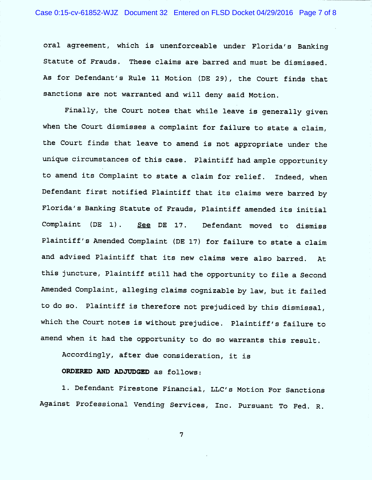oral agreement, which is unenforceable under Florida's Banking Statute of Frauds. These claims are barred and must be dismissed . As for Defendant's Rule 11 Motion (DE 29), the Court finds that sanctions are not warranted and will deny said Motion.

Finally, the Court notes that while leave is generally given when the Court dismisses a complaint for failure to state a claim, the Court finds that leave to amend is not appropriate under the unique circumstances of this case. Plaintiff had ample opportunity to amend its Complaint to state a claim for relief. Indeed, when Defendant first notified Plaintiff that its claims were barred by Florida's Banking Statute of Frauds, Plaintiff amended its initial Complaint (DE Plaintiff's Amended Complaint (DE l7) for failure to state a claim and advised Plaintiff that its new claims were also barred. At See DE 17. Defendant moved to dismiss this juncture, Plaintiff still had the opportunity to file a Second Amended Complaint, alleging claims cognizable by law, but it failed to do so. Plaintiff is therefore not prejudiced by this dismissal, which the Court notes is without prejudice. Plaintiff's failure to amend when it had the opportunity to do so warrants this result.

Accordingly, after due consideration, it is

ORDERED AND ADJUDGED as follows:

1. Defendant Firestone Financial, LLC's Motion For Sanctions Against Professional Vending Services, Inc. Pursuant To Fed. R.

 $\overline{7}$